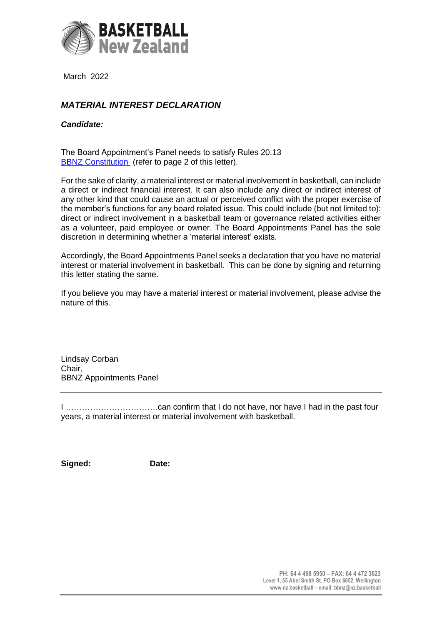

March 2022

## *MATERIAL INTEREST DECLARATION*

## *Candidate:*

The Board Appointment's Panel needs to satisfy Rules 20.13 [BBNZ Constitution](https://nz.basketball/wp-content/uploads/2019/08/BBNZ-Constitution.pdf) (refer to page 2 of this letter).

For the sake of clarity, a material interest or material involvement in basketball, can include a direct or indirect financial interest. It can also include any direct or indirect interest of any other kind that could cause an actual or perceived conflict with the proper exercise of the member's functions for any board related issue. This could include (but not limited to): direct or indirect involvement in a basketball team or governance related activities either as a volunteer, paid employee or owner. The Board Appointments Panel has the sole discretion in determining whether a 'material interest' exists.

Accordingly, the Board Appointments Panel seeks a declaration that you have no material interest or material involvement in basketball. This can be done by signing and returning this letter stating the same.

If you believe you may have a material interest or material involvement, please advise the nature of this.

Lindsay Corban Chair, BBNZ Appointments Panel

I …………………………….can confirm that I do not have, nor have I had in the past four years, a material interest or material involvement with basketball.

**Signed: Date:**